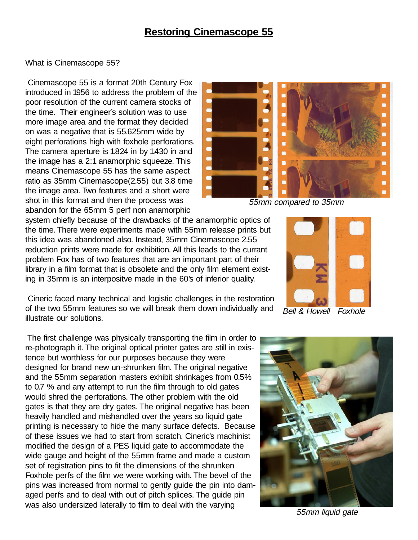## **Restoring Cinemascope 55**

## What is Cinemascope 55?

Cinemascope 55 is a format 20th Century Fox introduced in 1956 to address the problem of the poor resolution of the current camera stocks of the time. Their engineer's solution was to use more image area and the format they decided on was a negative that is 55.625mm wide by eight perforations high with foxhole perforations. The camera aperture is 1.824 in by 1.430 in and the image has a 2:1 anamorphic squeeze. This means Cinemascope 55 has the same aspect ratio as 35mm Cinemascope(2.55) but 3.8 time the image area. Two features and a short were shot in this format and then the process was abandon for the 65mm 5 perf non anamorphic

system chiefly because of the drawbacks of the anamorphic optics of the time. There were experiments made with 55mm release prints but this idea was abandoned also. Instead, 35mm Cinemascope 2.55 reduction prints were made for exhibition. All this leads to the currant problem Fox has of two features that are an important part of their library in a film format that is obsolete and the only film element existing in 35mm is an interpositve made in the 60's of inferior quality.

Cineric faced many technical and logistic challenges in the restoration of the two 55mm features so we will break them down individually and illustrate our solutions.

The first challenge was physically transporting the film in order to re-photograph it. The original optical printer gates are still in existence but worthless for our purposes because they were designed for brand new un-shrunken film. The original negative and the 55mm separation masters exhibit shrinkages from 0.5% to 0.7 % and any attempt to run the film through to old gates would shred the perforations. The other problem with the old gates is that they are dry gates. The original negative has been heavily handled and mishandled over the years so liquid gate printing is necessary to hide the many surface defects. Because of these issues we had to start from scratch. Cineric's machinist modified the design of a PES liquid gate to accommodate the wide gauge and height of the 55mm frame and made a custom set of registration pins to fit the dimensions of the shrunken Foxhole perfs of the film we were working with. The bevel of the pins was increased from normal to gently guide the pin into damaged perfs and to deal with out of pitch splices. The guide pin was also undersized laterally to film to deal with the varying



55mm compared to 35mm



Bell & Howell Foxhole



55mm liquid gate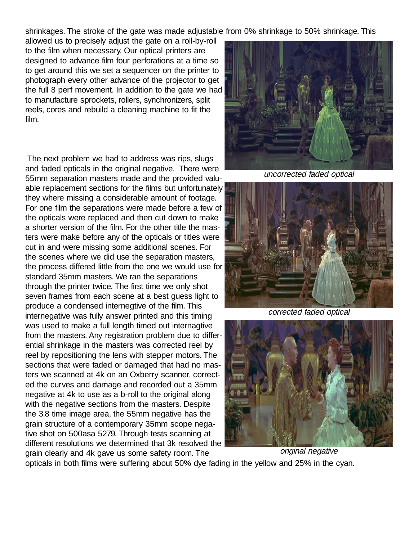shrinkages. The stroke of the gate was made adjustable from 0% shrinkage to 50% shrinkage. This

allowed us to precisely adjust the gate on a roll-by-roll to the film when necessary. Our optical printers are designed to advance film four perforations at a time so to get around this we set a sequencer on the printer to photograph every other advance of the projector to get the full 8 perf movement. In addition to the gate we had to manufacture sprockets, rollers, synchronizers, split reels, cores and rebuild a cleaning machine to fit the film.

The next problem we had to address was rips, slugs and faded opticals in the original negative. There were 55mm separation masters made and the provided valuable replacement sections for the films but unfortunately they where missing a considerable amount of footage. For one film the separations were made before a few of the opticals were replaced and then cut down to make a shorter version of the film. For the other title the masters were make before any of the opticals or titles were cut in and were missing some additional scenes. For the scenes where we did use the separation masters, the process differed little from the one we would use for standard 35mm masters. We ran the separations through the printer twice. The first time we only shot seven frames from each scene at a best guess light to produce a condensed internegtive of the film. This internegative was fully answer printed and this timing was used to make a full length timed out internagtive from the masters. Any registration problem due to differential shrinkage in the masters was corrected reel by reel by repositioning the lens with stepper motors. The sections that were faded or damaged that had no masters we scanned at 4k on an Oxberry scanner, corrected the curves and damage and recorded out a 35mm negative at 4k to use as a b-roll to the original along with the negative sections from the masters. Despite the 3.8 time image area, the 55mm negative has the grain structure of a contemporary 35mm scope negative shot on 500asa 5279. Through tests scanning at different resolutions we determined that 3k resolved the grain clearly and 4k gave us some safety room. The



uncorrected faded optical



corrected faded optical



opticals in both films were suffering about 50% dye fading in the yellow and 25% in the cyan.